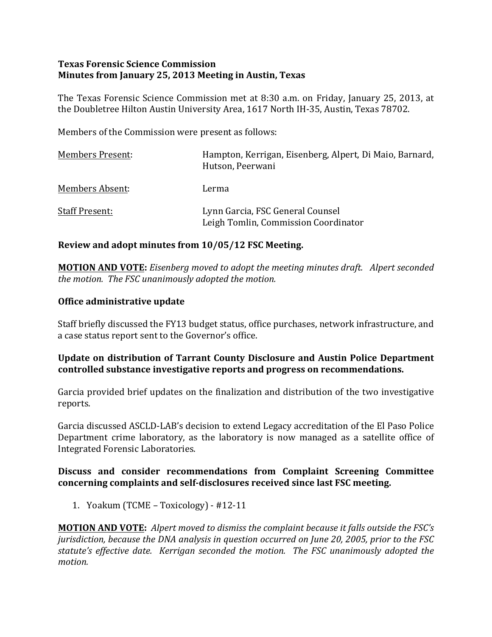### **Texas Forensic Science Commission Minutes from January 25, 2013 Meeting in Austin, Texas**

The Texas Forensic Science Commission met at 8:30 a.m. on Friday, January 25, 2013, at the Doubletree Hilton Austin University Area, 1617 North IH-35, Austin, Texas 78702.

Members of the Commission were present as follows:

| <b>Members Present:</b> | Hampton, Kerrigan, Eisenberg, Alpert, Di Maio, Barnard,<br>Hutson, Peerwani |
|-------------------------|-----------------------------------------------------------------------------|
| Members Absent:         | Lerma                                                                       |
| <b>Staff Present:</b>   | Lynn Garcia, FSC General Counsel<br>Leigh Tomlin, Commission Coordinator    |

#### **Review and adopt minutes from 10/05/12 FSC Meeting.**

**MOTION AND VOTE:** Eisenberg moved to adopt the meeting minutes draft. Alpert seconded *the motion. The FSC unanimously adopted the motion.* 

#### **Office administrative update**

Staff briefly discussed the FY13 budget status, office purchases, network infrastructure, and a case status report sent to the Governor's office.

### **Update on distribution of Tarrant County Disclosure and Austin Police Department controlled substance investigative reports and progress on recommendations.**

Garcia provided brief updates on the finalization and distribution of the two investigative reports. 

Garcia discussed ASCLD-LAB's decision to extend Legacy accreditation of the El Paso Police Department crime laboratory, as the laboratory is now managed as a satellite office of Integrated Forensic Laboratories.

#### **Discuss and consider recommendations from Complaint Screening Committee**  concerning complaints and self-disclosures received since last FSC meeting.

1. Yoakum (TCME – Toxicology) -  $\#12-11$ 

**MOTION AND VOTE:** Alpert moved to dismiss the complaint because it falls outside the FSC's *jurisdiction, because the DNA analysis in question occurred on June 20, 2005, prior to the FSC* statute's effective date. Kerrigan seconded the motion. The FSC unanimously adopted the *motion.*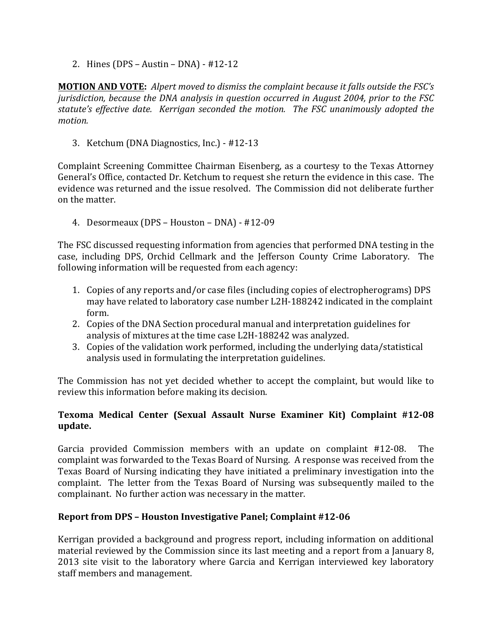2. Hines  $(DPS - Austin - DNA) - #12-12$ 

**MOTION AND VOTE:** Alpert moved to dismiss the complaint because it falls outside the FSC's *jurisdiction, because the DNA analysis in question occurred in August 2004, prior to the FSC* statute's effective date. Kerrigan seconded the motion. The FSC unanimously adopted the *motion.*

3. Ketchum (DNA Diagnostics, Inc.) - #12-13

Complaint Screening Committee Chairman Eisenberg, as a courtesy to the Texas Attorney General's Office, contacted Dr. Ketchum to request she return the evidence in this case. The evidence was returned and the issue resolved. The Commission did not deliberate further on the matter.

4. Desormeaux (DPS - Houston - DNA) - #12-09

The FSC discussed requesting information from agencies that performed DNA testing in the case, including DPS, Orchid Cellmark and the Jefferson County Crime Laboratory. The following information will be requested from each agency:

- 1. Copies of any reports and/or case files (including copies of electropherograms) DPS may have related to laboratory case number L2H-188242 indicated in the complaint form.
- 2. Copies of the DNA Section procedural manual and interpretation guidelines for analysis of mixtures at the time case L2H-188242 was analyzed.
- 3. Copies of the validation work performed, including the underlying data/statistical analysis used in formulating the interpretation guidelines.

The Commission has not yet decided whether to accept the complaint, but would like to review this information before making its decision.

## Texoma Medical Center (Sexual Assault Nurse Examiner Kit) Complaint #12-08 **update.**

Garcia provided Commission members with an update on complaint #12-08. The complaint was forwarded to the Texas Board of Nursing. A response was received from the Texas Board of Nursing indicating they have initiated a preliminary investigation into the complaint. The letter from the Texas Board of Nursing was subsequently mailed to the complainant. No further action was necessary in the matter.

## **Report from DPS - Houston Investigative Panel; Complaint #12-06**

Kerrigan provided a background and progress report, including information on additional material reviewed by the Commission since its last meeting and a report from a January 8, 2013 site visit to the laboratory where Garcia and Kerrigan interviewed key laboratory staff members and management.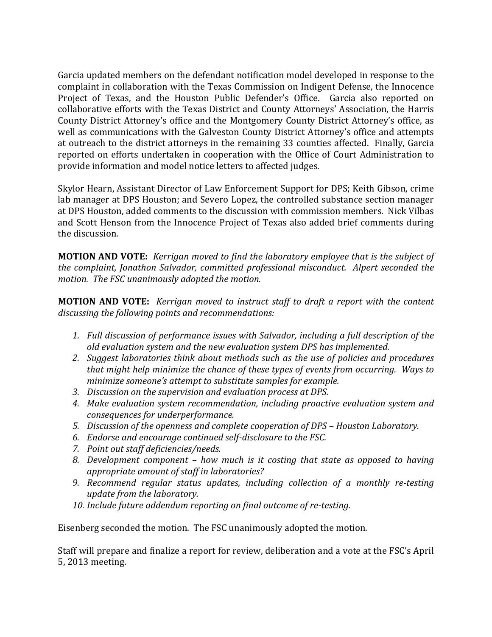Garcia updated members on the defendant notification model developed in response to the complaint in collaboration with the Texas Commission on Indigent Defense, the Innocence Project of Texas, and the Houston Public Defender's Office. Garcia also reported on collaborative efforts with the Texas District and County Attorneys' Association, the Harris County District Attorney's office and the Montgomery County District Attorney's office, as well as communications with the Galveston County District Attorney's office and attempts at outreach to the district attorneys in the remaining 33 counties affected. Finally, Garcia reported on efforts undertaken in cooperation with the Office of Court Administration to provide information and model notice letters to affected judges.

Skylor Hearn, Assistant Director of Law Enforcement Support for DPS; Keith Gibson, crime lab manager at DPS Houston; and Severo Lopez, the controlled substance section manager at DPS Houston, added comments to the discussion with commission members. Nick Vilbas and Scott Henson from the Innocence Project of Texas also added brief comments during the discussion.

**MOTION AND VOTE:** *Kerrigan moved to find the laboratory employee that is the subject of the complaint, Jonathon Salvador, committed professional misconduct. Alpert seconded the motion.* The FSC unanimously adopted the motion.

**MOTION AND VOTE:** *Kerrigan moved to instruct staff to draft a report with the content* discussing the following points and recommendations:

- 1. Full discussion of performance issues with Salvador, including a full description of the *old evaluation system and the new evaluation system DPS has implemented.*
- 2. *Suggest laboratories think about methods such as the use of policies and procedures that might help minimize the chance of these types of events from occurring. Ways to minimize someone's attempt to substitute samples for example.*
- 3. Discussion on the supervision and evaluation process at DPS.
- 4. Make evaluation system recommendation, including proactive evaluation system and *consequences for underperformance.*
- *5.* Discussion of the openness and complete cooperation of DPS Houston Laboratory.
- *6. Endorse and encourage continued self-disclosure to the FSC.*
- *7. Point out staff deficiencies/needs.*
- 8. Development component how much is it costing that state as opposed to having appropriate amount of staff in laboratories?
- **9.** Recommend regular status updates, including collection of a monthly re-testing *update from the laboratory.*
- 10. Include future addendum reporting on final outcome of re-testing.

Eisenberg seconded the motion. The FSC unanimously adopted the motion.

Staff will prepare and finalize a report for review, deliberation and a vote at the FSC's April 5, 2013 meeting.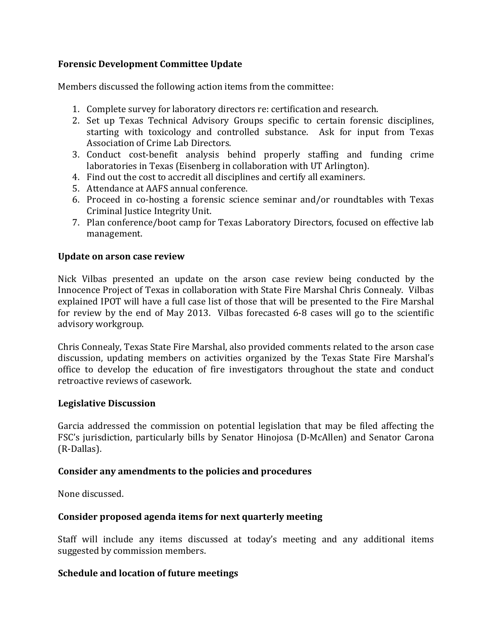### **Forensic Development Committee Update**

Members discussed the following action items from the committee:

- 1. Complete survey for laboratory directors re: certification and research.
- 2. Set up Texas Technical Advisory Groups specific to certain forensic disciplines, starting with toxicology and controlled substance. Ask for input from Texas Association of Crime Lab Directors.
- 3. Conduct cost-benefit analysis behind properly staffing and funding crime laboratories in Texas (Eisenberg in collaboration with UT Arlington).
- 4. Find out the cost to accredit all disciplines and certify all examiners.
- 5. Attendance at AAFS annual conference.
- 6. Proceed in co-hosting a forensic science seminar and/or roundtables with Texas Criminal Justice Integrity Unit.
- 7. Plan conference/boot camp for Texas Laboratory Directors, focused on effective lab management.

#### **Update on arson case review**

Nick Vilbas presented an update on the arson case review being conducted by the Innocence Project of Texas in collaboration with State Fire Marshal Chris Connealy. Vilbas explained IPOT will have a full case list of those that will be presented to the Fire Marshal for review by the end of May 2013. Vilbas forecasted 6-8 cases will go to the scientific advisory workgroup.

Chris Connealy, Texas State Fire Marshal, also provided comments related to the arson case discussion, updating members on activities organized by the Texas State Fire Marshal's office to develop the education of fire investigators throughout the state and conduct retroactive reviews of casework.

#### **Legislative Discussion**

Garcia addressed the commission on potential legislation that may be filed affecting the FSC's jurisdiction, particularly bills by Senator Hinojosa (D-McAllen) and Senator Carona (R-Dallas). 

#### Consider any amendments to the policies and procedures

None discussed.

#### Consider proposed agenda items for next quarterly meeting

Staff will include any items discussed at today's meeting and any additional items suggested by commission members.

#### **Schedule and location of future meetings**